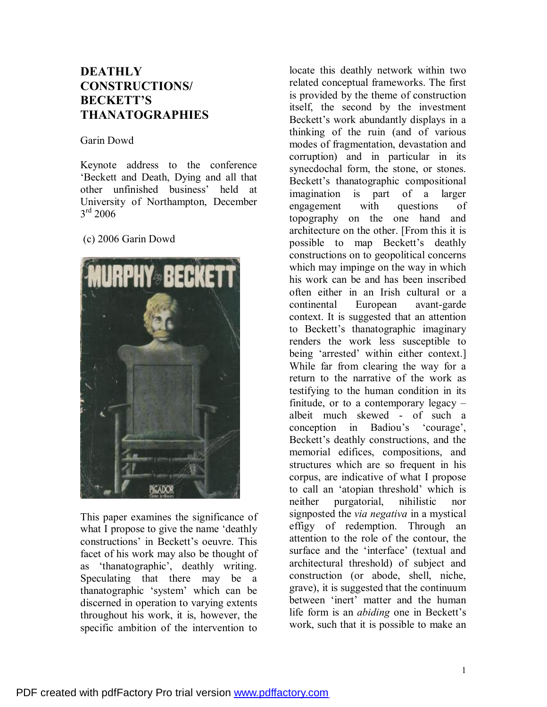## **DEATHLY CONSTRUCTIONS/ BECKETT'S THANATOGRAPHIES**

Garin Dowd

Keynote address to the conference 'Beckett and Death, Dying and all that other unfinished business' held at University of Northampton, December  $3<sup>rd</sup>$  2006

(c) 2006 Garin Dowd



This paper examines the significance of what I propose to give the name 'deathly constructions' in Beckett's oeuvre. This facet of his work may also be thought of as 'thanatographic', deathly writing. Speculating that there may be a thanatographic 'system' which can be discerned in operation to varying extents throughout his work, it is, however, the specific ambition of the intervention to

locate this deathly network within two related conceptual frameworks. The first is provided by the theme of construction itself, the second by the investment Beckett's work abundantly displays in a thinking of the ruin (and of various modes of fragmentation, devastation and corruption) and in particular in its synecdochal form, the stone, or stones. Beckett's thanatographic compositional imagination is part of a larger engagement with questions of topography on the one hand and architecture on the other. [From this it is possible to map Beckett's deathly constructions on to geopolitical concerns which may impinge on the way in which his work can be and has been inscribed often either in an Irish cultural or a continental European avant-garde context. It is suggested that an attention to Beckett's thanatographic imaginary renders the work less susceptible to being 'arrested' within either context.] While far from clearing the way for a return to the narrative of the work as testifying to the human condition in its finitude, or to a contemporary legacy – albeit much skewed - of such a conception in Badiou's 'courage', Beckett's deathly constructions, and the memorial edifices, compositions, and structures which are so frequent in his corpus, are indicative of what I propose to call an 'atopian threshold' which is neither purgatorial, nihilistic nor signposted the *via negativa* in a mystical effigy of redemption. Through an attention to the role of the contour, the surface and the 'interface' (textual and architectural threshold) of subject and construction (or abode, shell, niche, grave), it is suggested that the continuum between 'inert' matter and the human life form is an *abiding* one in Beckett's work, such that it is possible to make an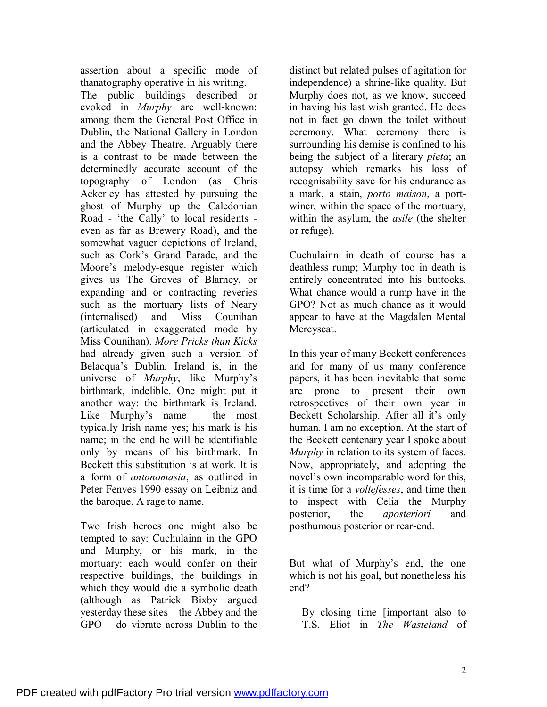assertion about a specific mode of thanatography operative in his writing. The public buildings described or evoked in *Murphy* are well-known: among them the General Post Office in Dublin, the National Gallery in London and the Abbey Theatre. Arguably there is a contrast to be made between the determinedly accurate account of the topography of London (as Chris Ackerley has attested by pursuing the ghost of Murphy up the Caledonian Road - 'the Cally' to local residents even as far as Brewery Road), and the somewhat vaguer depictions of Ireland, such as Cork's Grand Parade, and the Moore's melody-esque register which gives us The Groves of Blarney, or expanding and or contracting reveries such as the mortuary lists of Neary (internalised) and Miss Counihan (articulated in exaggerated mode by Miss Counihan). *More Pricks than Kicks* had already given such a version of Belacqua's Dublin. Ireland is, in the universe of *Murphy*, like Murphy's birthmark, indelible. One might put it another way: the birthmark is Ireland. Like Murphy's name – the most typically Irish name yes; his mark is his name; in the end he will be identifiable only by means of his birthmark. In Beckett this substitution is at work. It is a form of *antonomasia*, as outlined in Peter Fenves 1990 essay on Leibniz and the baroque. A rage to name.

Two Irish heroes one might also be tempted to say: Cuchulainn in the GPO and Murphy, or his mark, in the mortuary: each would confer on their respective buildings, the buildings in which they would die a symbolic death (although as Patrick Bixby argued yesterday these sites – the Abbey and the GPO – do vibrate across Dublin to the

distinct but related pulses of agitation for independence) a shrine-like quality. But Murphy does not, as we know, succeed in having his last wish granted. He does not in fact go down the toilet without ceremony. What ceremony there is surrounding his demise is confined to his being the subject of a literary *pieta*; an autopsy which remarks his loss of recognisability save for his endurance as a mark, a stain, *porto maison*, a portwiner, within the space of the mortuary, within the asylum, the *asile* (the shelter or refuge).

Cuchulainn in death of course has a deathless rump; Murphy too in death is entirely concentrated into his buttocks. What chance would a rump have in the GPO? Not as much chance as it would appear to have at the Magdalen Mental Mercyseat.

In this year of many Beckett conferences and for many of us many conference papers, it has been inevitable that some are prone to present their own retrospectives of their own year in Beckett Scholarship. After all it's only human. I am no exception. At the start of the Beckett centenary year I spoke about *Murphy* in relation to its system of faces. Now, appropriately, and adopting the novel's own incomparable word for this, it is time for a *voltefesses*, and time then to inspect with Celia the Murphy posterior, the *aposteriori* and posthumous posterior or rear-end.

But what of Murphy's end, the one which is not his goal, but nonetheless his end?

By closing time [important also to T.S. Eliot in *The Wasteland* of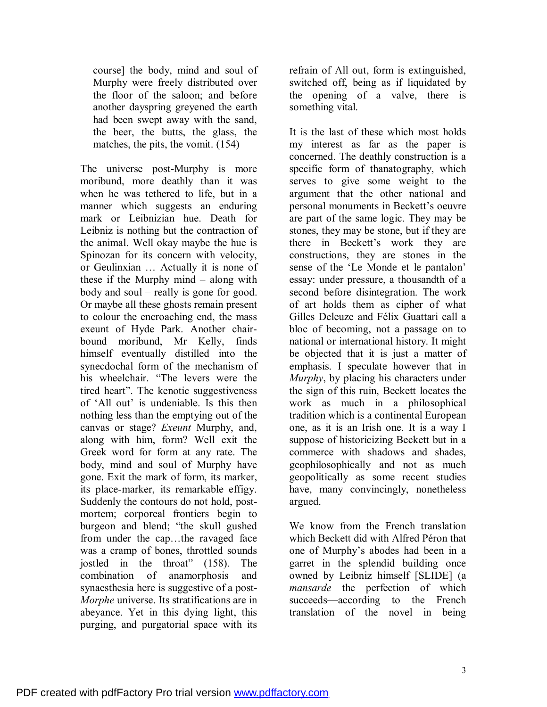course] the body, mind and soul of Murphy were freely distributed over the floor of the saloon; and before another dayspring greyened the earth had been swept away with the sand, the beer, the butts, the glass, the matches, the pits, the vomit. (154)

The universe post-Murphy is more moribund, more deathly than it was when he was tethered to life, but in a manner which suggests an enduring mark or Leibnizian hue. Death for Leibniz is nothing but the contraction of the animal. Well okay maybe the hue is Spinozan for its concern with velocity, or Geulinxian … Actually it is none of these if the Murphy mind – along with body and soul – really is gone for good. Or maybe all these ghosts remain present to colour the encroaching end, the mass exeunt of Hyde Park. Another chairbound moribund, Mr Kelly, finds himself eventually distilled into the synecdochal form of the mechanism of his wheelchair. "The levers were the tired heart". The kenotic suggestiveness of 'All out' is undeniable. Is this then nothing less than the emptying out of the canvas or stage? *Exeunt* Murphy, and, along with him, form? Well exit the Greek word for form at any rate. The body, mind and soul of Murphy have gone. Exit the mark of form, its marker, its place-marker, its remarkable effigy. Suddenly the contours do not hold, postmortem; corporeal frontiers begin to burgeon and blend; "the skull gushed from under the cap…the ravaged face was a cramp of bones, throttled sounds jostled in the throat" (158). The combination of anamorphosis and synaesthesia here is suggestive of a post-*Morphe* universe. Its stratifications are in abeyance. Yet in this dying light, this purging, and purgatorial space with its

refrain of All out, form is extinguished, switched off, being as if liquidated by the opening of a valve, there is something vital.

It is the last of these which most holds my interest as far as the paper is concerned. The deathly construction is a specific form of thanatography, which serves to give some weight to the argument that the other national and personal monuments in Beckett's oeuvre are part of the same logic. They may be stones, they may be stone, but if they are there in Beckett's work they are constructions, they are stones in the sense of the 'Le Monde et le pantalon' essay: under pressure, a thousandth of a second before disintegration. The work of art holds them as cipher of what Gilles Deleuze and Félix Guattari call a bloc of becoming, not a passage on to national or international history. It might be objected that it is just a matter of emphasis. I speculate however that in *Murphy*, by placing his characters under the sign of this ruin, Beckett locates the work as much in a philosophical tradition which is a continental European one, as it is an Irish one. It is a way I suppose of historicizing Beckett but in a commerce with shadows and shades, geophilosophically and not as much geopolitically as some recent studies have, many convincingly, nonetheless argued.

We know from the French translation which Beckett did with Alfred Péron that one of Murphy's abodes had been in a garret in the splendid building once owned by Leibniz himself [SLIDE] (a *mansarde* the perfection of which succeeds—according to the French translation of the novel—in being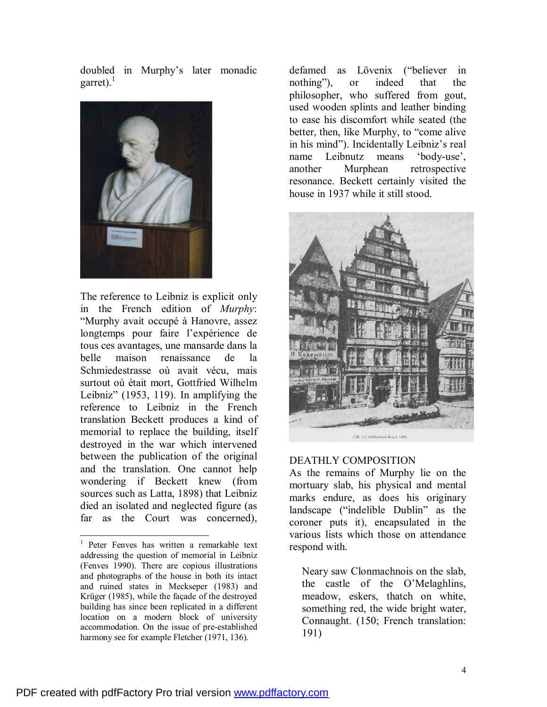doubled in Murphy's later monadic garret). $<sup>1</sup>$ </sup>



The reference to Leibniz is explicit only in the French edition of *Murphy*: "Murphy avait occupé à Hanovre, assez longtemps pour faire l'expérience de tous ces avantages, une mansarde dans la belle maison renaissance de la Schmiedestrasse où avait vécu, mais surtout où était mort, Gottfried Wilhelm Leibniz" (1953, 119). In amplifying the reference to Leibniz in the French translation Beckett produces a kind of memorial to replace the building, itself destroyed in the war which intervened between the publication of the original and the translation. One cannot help wondering if Beckett knew (from sources such as Latta, 1898) that Leibniz died an isolated and neglected figure (as far as the Court was concerned),

 $\overline{a}$ 

defamed as Lövenix ("believer in nothing"), or indeed that the philosopher, who suffered from gout, used wooden splints and leather binding to ease his discomfort while seated (the better, then, like Murphy, to "come alive in his mind"). Incidentally Leibniz's real name Leibnutz means 'body-use', another Murphean retrospective resonance. Beckett certainly visited the house in 1937 while it still stood.



## DEATHLY COMPOSITION

As the remains of Murphy lie on the mortuary slab, his physical and mental marks endure, as does his originary landscape ("indelible Dublin" as the coroner puts it), encapsulated in the various lists which those on attendance respond with.

Neary saw Clonmachnois on the slab, the castle of the O'Melaghlins, meadow, eskers, thatch on white, something red, the wide bright water, Connaught. (150; French translation: 191)

<sup>1</sup> Peter Fenves has written a remarkable text addressing the question of memorial in Leibniz (Fenves 1990). There are copious illustrations and photographs of the house in both its intact and ruined states in Meckseper (1983) and Krüger (1985), while the façade of the destroyed building has since been replicated in a different location on a modern block of university accommodation. On the issue of pre-established harmony see for example Fletcher (1971, 136).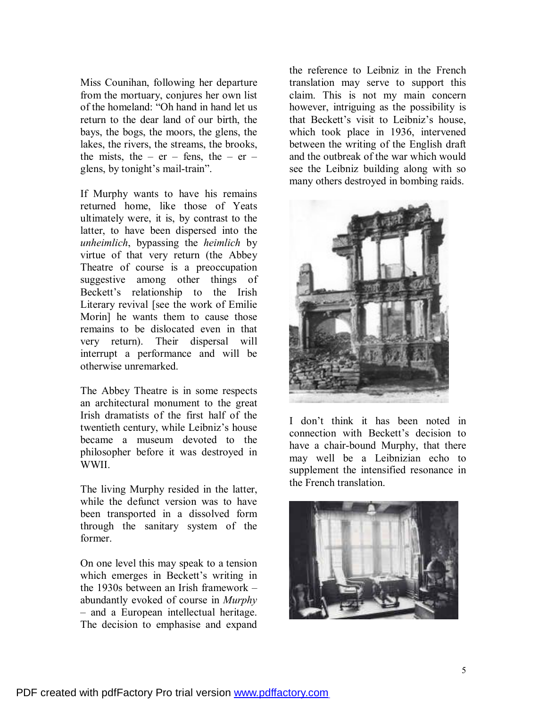Miss Counihan, following her departure from the mortuary, conjures her own list of the homeland: "Oh hand in hand let us return to the dear land of our birth, the bays, the bogs, the moors, the glens, the lakes, the rivers, the streams, the brooks, the mists, the –  $er$  – fens, the –  $er$  – glens, by tonight's mail-train".

If Murphy wants to have his remains returned home, like those of Yeats ultimately were, it is, by contrast to the latter, to have been dispersed into the *unheimlich*, bypassing the *heimlich* by virtue of that very return (the Abbey Theatre of course is a preoccupation suggestive among other things of Beckett's relationship to the Irish Literary revival [see the work of Emilie Morin] he wants them to cause those remains to be dislocated even in that very return). Their dispersal will interrupt a performance and will be otherwise unremarked.

The Abbey Theatre is in some respects an architectural monument to the great Irish dramatists of the first half of the twentieth century, while Leibniz's house became a museum devoted to the philosopher before it was destroyed in WWII.

The living Murphy resided in the latter, while the defunct version was to have been transported in a dissolved form through the sanitary system of the former.

On one level this may speak to a tension which emerges in Beckett's writing in the 1930s between an Irish framework – abundantly evoked of course in *Murphy* – and a European intellectual heritage. The decision to emphasise and expand the reference to Leibniz in the French translation may serve to support this claim. This is not my main concern however, intriguing as the possibility is that Beckett's visit to Leibniz's house, which took place in 1936, intervened between the writing of the English draft and the outbreak of the war which would see the Leibniz building along with so many others destroyed in bombing raids.



I don't think it has been noted in connection with Beckett's decision to have a chair-bound Murphy, that there may well be a Leibnizian echo to supplement the intensified resonance in the French translation.

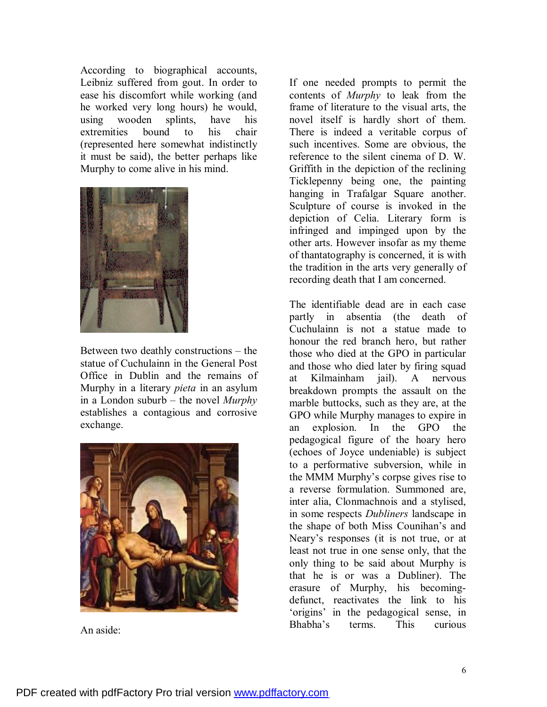According to biographical accounts, Leibniz suffered from gout. In order to ease his discomfort while working (and he worked very long hours) he would, using wooden splints, have his extremities bound to his chair (represented here somewhat indistinctly it must be said), the better perhaps like Murphy to come alive in his mind.



Between two deathly constructions – the statue of Cuchulainn in the General Post Office in Dublin and the remains of Murphy in a literary *pieta* in an asylum in a London suburb – the novel *Murphy* establishes a contagious and corrosive exchange.



An aside:

If one needed prompts to permit the contents of *Murphy* to leak from the frame of literature to the visual arts, the novel itself is hardly short of them. There is indeed a veritable corpus of such incentives. Some are obvious, the reference to the silent cinema of D. W. Griffith in the depiction of the reclining Ticklepenny being one, the painting hanging in Trafalgar Square another. Sculpture of course is invoked in the depiction of Celia. Literary form is infringed and impinged upon by the other arts. However insofar as my theme of thantatography is concerned, it is with the tradition in the arts very generally of recording death that I am concerned.

The identifiable dead are in each case partly in absentia (the death of Cuchulainn is not a statue made to honour the red branch hero, but rather those who died at the GPO in particular and those who died later by firing squad at Kilmainham jail). A nervous breakdown prompts the assault on the marble buttocks, such as they are, at the GPO while Murphy manages to expire in an explosion. In the GPO the pedagogical figure of the hoary hero (echoes of Joyce undeniable) is subject to a performative subversion, while in the MMM Murphy's corpse gives rise to a reverse formulation. Summoned are, inter alia, Clonmachnois and a stylised, in some respects *Dubliners* landscape in the shape of both Miss Counihan's and Neary's responses (it is not true, or at least not true in one sense only, that the only thing to be said about Murphy is that he is or was a Dubliner). The erasure of Murphy, his becomingdefunct, reactivates the link to his 'origins' in the pedagogical sense, in Bhabha's terms. This curious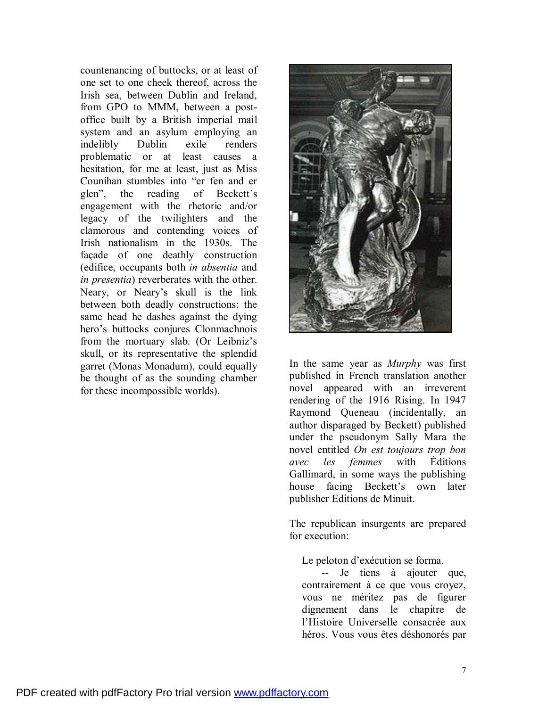countenancing of buttocks, or at least of one set to one cheek thereof, across the Irish sea, between Dublin and Ireland, from GPO to MMM, between a postoffice built by a British imperial mail system and an asylum employing an indelibly Dublin exile renders problematic or at least causes a hesitation, for me at least, just as Miss Counihan stumbles into "er fen and er glen", the reading of Beckett's engagement with the rhetoric and/or legacy of the twilighters and the clamorous and contending voices of Irish nationalism in the 1930s. The façade of one deathly construction (edifice, occupants both *in absentia* and *in presentia*) reverberates with the other. Neary, or Neary's skull is the link between both deadly constructions; the same head he dashes against the dying hero's buttocks conjures Clonmachnois from the mortuary slab. (Or Leibniz's skull, or its representative the splendid garret (Monas Monadum), could equally be thought of as the sounding chamber for these incompossible worlds).



In the same year as *Murphy* was first published in French translation another novel appeared with an irreverent rendering of the 1916 Rising. In 1947 Raymond Queneau (incidentally, an author disparaged by Beckett) published under the pseudonym Sally Mara the novel entitled *On est toujours trop bon avec les femmes* with Éditions Gallimard, in some ways the publishing house facing Beckett's own later publisher Editions de Minuit.

The republican insurgents are prepared for execution:

Le peloton d'exécution se forma.

-- Je tiens à ajouter que, contrairement à ce que vous croyez, vous ne méritez pas de figurer dignement dans le chapitre de l'Histoire Universelle consacrée aux héros. Vous vous êtes déshonorés par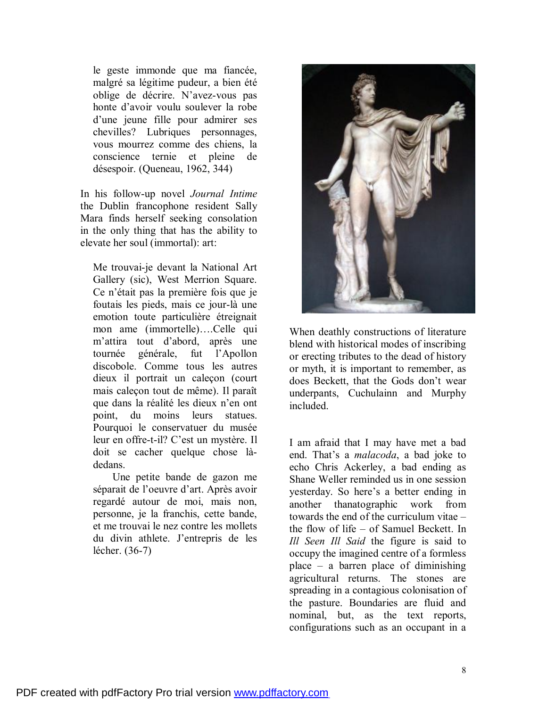le geste immonde que ma fiancée, malgré sa légitime pudeur, a bien été oblige de décrire. N'avez-vous pas honte d'avoir voulu soulever la robe d'une jeune fille pour admirer ses chevilles? Lubriques personnages, vous mourrez comme des chiens, la conscience ternie et pleine de désespoir. (Queneau, 1962, 344)

In his follow-up novel *Journal Intime* the Dublin francophone resident Sally Mara finds herself seeking consolation in the only thing that has the ability to elevate her soul (immortal): art:

Me trouvai-je devant la National Art Gallery (sic), West Merrion Square. Ce n'était pas la première fois que je foutais les pieds, mais ce jour-là une emotion toute particulière étreignait mon ame (immortelle)….Celle qui m'attira tout d'abord, après une tournée générale, fut l'Apollon discobole. Comme tous les autres dieux il portrait un caleçon (court mais caleçon tout de même). Il paraît que dans la réalité les dieux n'en ont point, du moins leurs statues. Pourquoi le conservatuer du musée leur en offre-t-il? C'est un mystère. Il doit se cacher quelque chose làdedans.

Une petite bande de gazon me séparait de l'oeuvre d'art. Après avoir regardé autour de moi, mais non, personne, je la franchis, cette bande, et me trouvai le nez contre les mollets du divin athlete. J'entrepris de les lécher. (36-7)



When deathly constructions of literature blend with historical modes of inscribing or erecting tributes to the dead of history or myth, it is important to remember, as does Beckett, that the Gods don't wear underpants, Cuchulainn and Murphy included.

I am afraid that I may have met a bad end. That's a *malacoda*, a bad joke to echo Chris Ackerley, a bad ending as Shane Weller reminded us in one session yesterday. So here's a better ending in another thanatographic work from towards the end of the curriculum vitae – the flow of life – of Samuel Beckett. In *Ill Seen Ill Said* the figure is said to occupy the imagined centre of a formless place – a barren place of diminishing agricultural returns. The stones are spreading in a contagious colonisation of the pasture. Boundaries are fluid and nominal, but, as the text reports, configurations such as an occupant in a